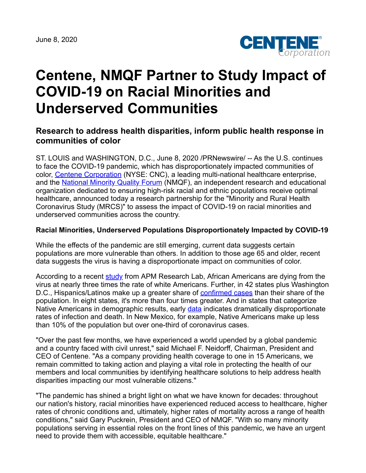

# **Centene, NMQF Partner to Study Impact of COVID-19 on Racial Minorities and Underserved Communities**

# **Research to address health disparities, inform public health response in communities of color**

ST. LOUIS and WASHINGTON, D.C., June 8, 2020 /PRNewswire/ -- As the U.S. continues to face the COVID-19 pandemic, which has disproportionately impacted communities of color, [Centene Corporation](https://www.centene.com/) (NYSE: CNC), a leading multi-national healthcare enterprise, and the [National Minority Quality Forum](https://www.nmqf.org/) (NMQF), an independent research and educational organization dedicated to ensuring high-risk racial and ethnic populations receive optimal healthcare, announced today a research partnership for the "Minority and Rural Health Coronavirus Study (MRCS)" to assess the impact of COVID-19 on racial minorities and underserved communities across the country.

#### **Racial Minorities, Underserved Populations Disproportionately Impacted by COVID-19**

While the effects of the pandemic are still emerging, current data suggests certain populations are more vulnerable than others. In addition to those age 65 and older, recent data suggests the virus is having a disproportionate impact on communities of color.

According to a recent [study](https://www.apmresearchlab.org/covid/deaths-by-race) from APM Research Lab, African Americans are dying from the virus at nearly three times the rate of white Americans. Further, in 42 states plus Washington D.C., Hispanics/Latinos make up a greater share of [confirmed cases](https://www.npr.org/sections/health-shots/2020/05/30/865413079/what-do-coronavirus-racial-disparities-look-like-state-by-state) than their share of the population. In eight states, it's more than four times greater. And in states that categorize Native Americans in demographic results, early [data](https://www.theguardian.com/us-news/2020/apr/24/us-native-americans-left-out-coronavirus-data) indicates dramatically disproportionate rates of infection and death. In New Mexico, for example, Native Americans make up less than 10% of the population but over one-third of coronavirus cases.

"Over the past few months, we have experienced a world upended by a global pandemic and a country faced with civil unrest," said Michael F. Neidorff, Chairman, President and CEO of Centene. "As a company providing health coverage to one in 15 Americans, we remain committed to taking action and playing a vital role in protecting the health of our members and local communities by identifying healthcare solutions to help address health disparities impacting our most vulnerable citizens."

"The pandemic has shined a bright light on what we have known for decades: throughout our nation's history, racial minorities have experienced reduced access to healthcare, higher rates of chronic conditions and, ultimately, higher rates of mortality across a range of health conditions," said Gary Puckrein, President and CEO of NMQF. "With so many minority populations serving in essential roles on the front lines of this pandemic, we have an urgent need to provide them with accessible, equitable healthcare."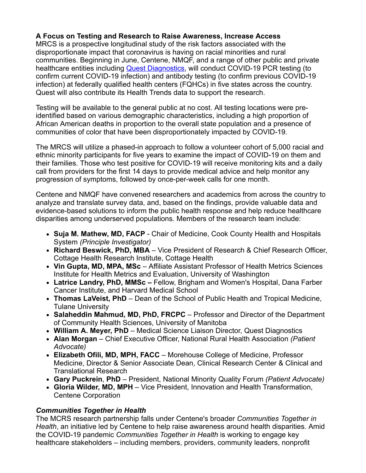# **A Focus on Testing and Research to Raise Awareness, Increase Access**

MRCS is a prospective longitudinal study of the risk factors associated with the disproportionate impact that coronavirus is having on racial minorities and rural communities. Beginning in June, Centene, NMQF, and a range of other public and private healthcare entities including **Quest Diagnostics**, will conduct COVID-19 PCR testing (to confirm current COVID-19 infection) and antibody testing (to confirm previous COVID-19 infection) at federally qualified health centers (FQHCs) in five states across the country. Quest will also contribute its Health Trends data to support the research.

Testing will be available to the general public at no cost. All testing locations were preidentified based on various demographic characteristics, including a high proportion of African American deaths in proportion to the overall state population and a presence of communities of color that have been disproportionately impacted by COVID-19.

The MRCS will utilize a phased-in approach to follow a volunteer cohort of 5,000 racial and ethnic minority participants for five years to examine the impact of COVID-19 on them and their families. Those who test positive for COVID-19 will receive monitoring kits and a daily call from providers for the first 14 days to provide medical advice and help monitor any progression of symptoms, followed by once-per-week calls for one month.

Centene and NMQF have convened researchers and academics from across the country to analyze and translate survey data, and, based on the findings, provide valuable data and evidence-based solutions to inform the public health response and help reduce healthcare disparities among underserved populations. Members of the research team include:

- **Suja M. Mathew, MD, FACP** Chair of Medicine, Cook County Health and Hospitals System *(Principle Investigator)*
- **Richard Beswick, PhD, MBA** Vice President of Research & Chief Research Officer, Cottage Health Research Institute, Cottage Health
- **Vin Gupta, MD, MPA, MSc** Affiliate Assistant Professor of Health Metrics Sciences Institute for Health Metrics and Evaluation, University of Washington
- **Latrice Landry, PhD, MMSc** Fellow, Brigham and Women's Hospital, Dana Farber Cancer Institute, and Harvard Medical School
- **Thomas LaVeist, PhD** Dean of the School of Public Health and Tropical Medicine, Tulane University
- **Salaheddin Mahmud, MD, PhD, FRCPC** Professor and Director of the Department of Community Health Sciences, University of Manitoba
- **William A. Meyer, PhD** Medical Science Liaison Director, Quest Diagnostics
- **Alan Morgan** Chief Executive Officer, National Rural Health Association *(Patient Advocate)*
- **Elizabeth Ofili, MD, MPH, FACC** Morehouse College of Medicine, Professor Medicine, Director & Senior Associate Dean, Clinical Research Center & Clinical and Translational Research
- **Gary Puckrein**, **PhD** President, National Minority Quality Forum *(Patient Advocate)*
- **Gloria Wilder, MD, MPH** Vice President, Innovation and Health Transformation, Centene Corporation

## *Communities Together in Health*

The MCRS research partnership falls under Centene's broader *Communities Together in Health*, an initiative led by Centene to help raise awareness around health disparities. Amid the COVID-19 pandemic *Communities Together in Health* is working to engage key healthcare stakeholders – including members, providers, community leaders, nonprofit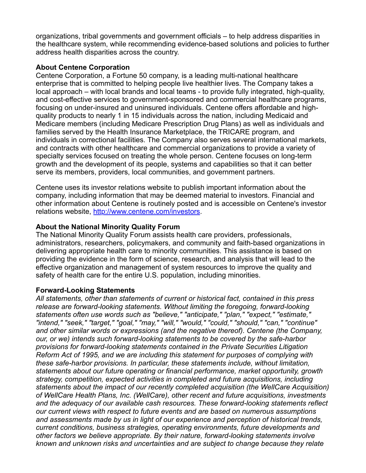organizations, tribal governments and government officials – to help address disparities in the healthcare system, while recommending evidence-based solutions and policies to further address health disparities across the country.

#### **About Centene Corporation**

Centene Corporation, a Fortune 50 company, is a leading multi-national healthcare enterprise that is committed to helping people live healthier lives. The Company takes a local approach – with local brands and local teams - to provide fully integrated, high-quality, and cost-effective services to government-sponsored and commercial healthcare programs, focusing on under-insured and uninsured individuals. Centene offers affordable and highquality products to nearly 1 in 15 individuals across the nation, including Medicaid and Medicare members (including Medicare Prescription Drug Plans) as well as individuals and families served by the Health Insurance Marketplace, the TRICARE program, and individuals in correctional facilities. The Company also serves several international markets, and contracts with other healthcare and commercial organizations to provide a variety of specialty services focused on treating the whole person. Centene focuses on long-term growth and the development of its people, systems and capabilities so that it can better serve its members, providers, local communities, and government partners.

Centene uses its investor relations website to publish important information about the company, including information that may be deemed material to investors. Financial and other information about Centene is routinely posted and is accessible on Centene's investor relations website, <http://www.centene.com/investors>.

#### **About the National Minority Quality Forum**

The National Minority Quality Forum assists health care providers, professionals, administrators, researchers, policymakers, and community and faith-based organizations in delivering appropriate health care to minority communities. This assistance is based on providing the evidence in the form of science, research, and analysis that will lead to the effective organization and management of system resources to improve the quality and safety of health care for the entire U.S. population, including minorities.

## **Forward-Looking Statements**

*All statements, other than statements of current or historical fact, contained in this press release are forward-looking statements. Without limiting the foregoing, forward-looking statements often use words such as "believe," "anticipate," "plan," "expect," "estimate," "intend," "seek," "target," "goal," "may," "will," "would," "could," "should," "can," "continue" and other similar words or expressions (and the negative thereof). Centene (the Company, our, or we) intends such forward-looking statements to be covered by the safe-harbor provisions for forward-looking statements contained in the Private Securities Litigation Reform Act of 1995, and we are including this statement for purposes of complying with these safe-harbor provisions. In particular, these statements include, without limitation, statements about our future operating or financial performance, market opportunity, growth strategy, competition, expected activities in completed and future acquisitions, including statements about the impact of our recently completed acquisition (the WellCare Acquisition) of WellCare Health Plans, Inc. (WellCare), other recent and future acquisitions, investments and the adequacy of our available cash resources. These forward-looking statements reflect our current views with respect to future events and are based on numerous assumptions and assessments made by us in light of our experience and perception of historical trends, current conditions, business strategies, operating environments, future developments and other factors we believe appropriate. By their nature, forward-looking statements involve known and unknown risks and uncertainties and are subject to change because they relate*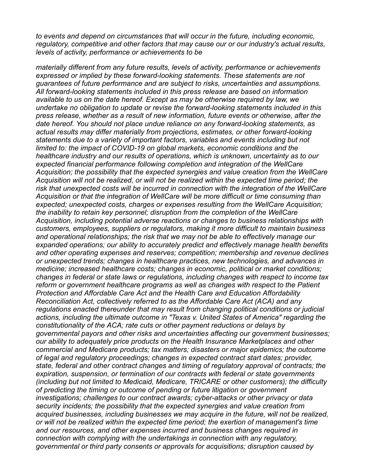*to events and depend on circumstances that will occur in the future, including economic, regulatory, competitive and other factors that may cause our or our industry's actual results, levels of activity, performance or achievements to be*

*materially different from any future results, levels of activity, performance or achievements expressed or implied by these forward-looking statements. These statements are not guarantees of future performance and are subject to risks, uncertainties and assumptions. All forward-looking statements included in this press release are based on information available to us on the date hereof. Except as may be otherwise required by law, we undertake no obligation to update or revise the forward-looking statements included in this press release, whether as a result of new information, future events or otherwise, after the date hereof. You should not place undue reliance on any forward-looking statements, as actual results may differ materially from projections, estimates, or other forward-looking statements due to a variety of important factors, variables and events including but not limited to: the impact of COVID-19 on global markets, economic conditions and the healthcare industry and our results of operations, which is unknown, uncertainty as to our expected financial performance following completion and integration of the WellCare Acquisition; the possibility that the expected synergies and value creation from the WellCare Acquisition will not be realized, or will not be realized within the expected time period; the risk that unexpected costs will be incurred in connection with the integration of the WellCare Acquisition or that the integration of WellCare will be more difficult or time consuming than expected; unexpected costs, charges or expenses resulting from the WellCare Acquisition; the inability to retain key personnel; disruption from the completion of the WellCare Acquisition, including potential adverse reactions or changes to business relationships with customers, employees, suppliers or regulators, making it more difficult to maintain business and operational relationships; the risk that we may not be able to effectively manage our expanded operations; our ability to accurately predict and effectively manage health benefits and other operating expenses and reserves; competition; membership and revenue declines or unexpected trends; changes in healthcare practices, new technologies, and advances in medicine; increased healthcare costs; changes in economic, political or market conditions; changes in federal or state laws or regulations, including changes with respect to income tax reform or government healthcare programs as well as changes with respect to the Patient Protection and Affordable Care Act and the Health Care and Education Affordability Reconciliation Act, collectively referred to as the Affordable Care Act (ACA) and any regulations enacted thereunder that may result from changing political conditions or judicial actions, including the ultimate outcome in "Texas v. United States of America" regarding the constitutionality of the ACA; rate cuts or other payment reductions or delays by governmental payors and other risks and uncertainties affecting our government businesses; our ability to adequately price products on the Health Insurance Marketplaces and other commercial and Medicare products; tax matters; disasters or major epidemics; the outcome of legal and regulatory proceedings; changes in expected contract start dates; provider, state, federal and other contract changes and timing of regulatory approval of contracts; the expiration, suspension, or termination of our contracts with federal or state governments (including but not limited to Medicaid, Medicare, TRICARE or other customers); the difficulty of predicting the timing or outcome of pending or future litigation or government investigations; challenges to our contract awards; cyber-attacks or other privacy or data security incidents; the possibility that the expected synergies and value creation from acquired businesses, including businesses we may acquire in the future, will not be realized, or will not be realized within the expected time period; the exertion of management's time and our resources, and other expenses incurred and business changes required in connection with complying with the undertakings in connection with any regulatory, governmental or third party consents or approvals for acquisitions; disruption caused by*